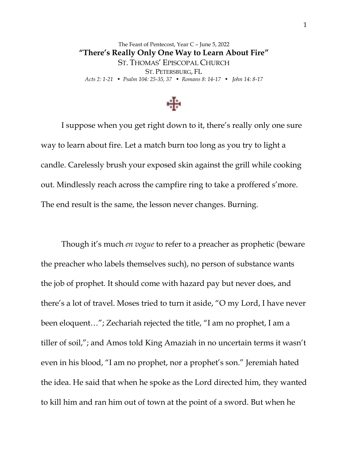The Feast of Pentecost, Year C – June 5, 2022 **"There's Really Only One Way to Learn About Fire"** ST. THOMAS' EPISCOPAL CHURCH ST. PETERSBURG, FL *Acts 2: 1-21 • Psalm 104: 25-35, 37 • Romans 8: 14-17 • John 14: 8-17*



I suppose when you get right down to it, there's really only one sure way to learn about fire. Let a match burn too long as you try to light a candle. Carelessly brush your exposed skin against the grill while cooking out. Mindlessly reach across the campfire ring to take a proffered s'more. The end result is the same, the lesson never changes. Burning.

Though it's much *en vogue* to refer to a preacher as prophetic (beware the preacher who labels themselves such), no person of substance wants the job of prophet. It should come with hazard pay but never does, and there's a lot of travel. Moses tried to turn it aside, "O my Lord, I have never been eloquent…"; Zechariah rejected the title, "I am no prophet, I am a tiller of soil,"; and Amos told King Amaziah in no uncertain terms it wasn't even in his blood, "I am no prophet, nor a prophet's son." Jeremiah hated the idea. He said that when he spoke as the Lord directed him, they wanted to kill him and ran him out of town at the point of a sword. But when he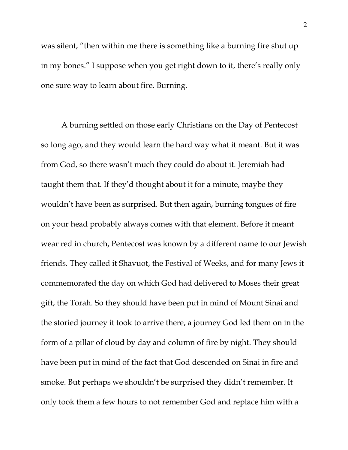was silent, "then within me there is something like a burning fire shut up in my bones." I suppose when you get right down to it, there's really only one sure way to learn about fire. Burning.

A burning settled on those early Christians on the Day of Pentecost so long ago, and they would learn the hard way what it meant. But it was from God, so there wasn't much they could do about it. Jeremiah had taught them that. If they'd thought about it for a minute, maybe they wouldn't have been as surprised. But then again, burning tongues of fire on your head probably always comes with that element. Before it meant wear red in church, Pentecost was known by a different name to our Jewish friends. They called it Shavuot, the Festival of Weeks, and for many Jews it commemorated the day on which God had delivered to Moses their great gift, the Torah. So they should have been put in mind of Mount Sinai and the storied journey it took to arrive there, a journey God led them on in the form of a pillar of cloud by day and column of fire by night. They should have been put in mind of the fact that God descended on Sinai in fire and smoke. But perhaps we shouldn't be surprised they didn't remember. It only took them a few hours to not remember God and replace him with a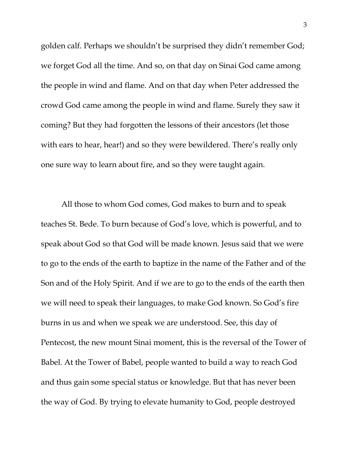golden calf. Perhaps we shouldn't be surprised they didn't remember God; we forget God all the time. And so, on that day on Sinai God came among the people in wind and flame. And on that day when Peter addressed the crowd God came among the people in wind and flame. Surely they saw it coming? But they had forgotten the lessons of their ancestors (let those with ears to hear, hear!) and so they were bewildered. There's really only one sure way to learn about fire, and so they were taught again.

All those to whom God comes, God makes to burn and to speak teaches St. Bede. To burn because of God's love, which is powerful, and to speak about God so that God will be made known. Jesus said that we were to go to the ends of the earth to baptize in the name of the Father and of the Son and of the Holy Spirit. And if we are to go to the ends of the earth then we will need to speak their languages, to make God known. So God's fire burns in us and when we speak we are understood. See, this day of Pentecost, the new mount Sinai moment, this is the reversal of the Tower of Babel. At the Tower of Babel, people wanted to build a way to reach God and thus gain some special status or knowledge. But that has never been the way of God. By trying to elevate humanity to God, people destroyed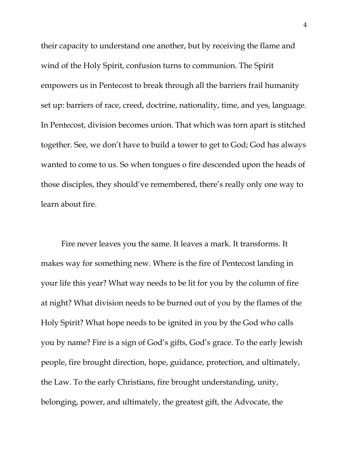their capacity to understand one another, but by receiving the flame and wind of the Holy Spirit, confusion turns to communion. The Spirit empowers us in Pentecost to break through all the barriers frail humanity set up: barriers of race, creed, doctrine, nationality, time, and yes, language. In Pentecost, division becomes union. That which was torn apart is stitched together. See, we don't have to build a tower to get to God; God has always wanted to come to us. So when tongues o fire descended upon the heads of those disciples, they should've remembered, there's really only one way to learn about fire.

Fire never leaves you the same. It leaves a mark. It transforms. It makes way for something new. Where is the fire of Pentecost landing in your life this year? What way needs to be lit for you by the column of fire at night? What division needs to be burned out of you by the flames of the Holy Spirit? What hope needs to be ignited in you by the God who calls you by name? Fire is a sign of God's gifts, God's grace. To the early Jewish people, fire brought direction, hope, guidance, protection, and ultimately, the Law. To the early Christians, fire brought understanding, unity, belonging, power, and ultimately, the greatest gift, the Advocate, the